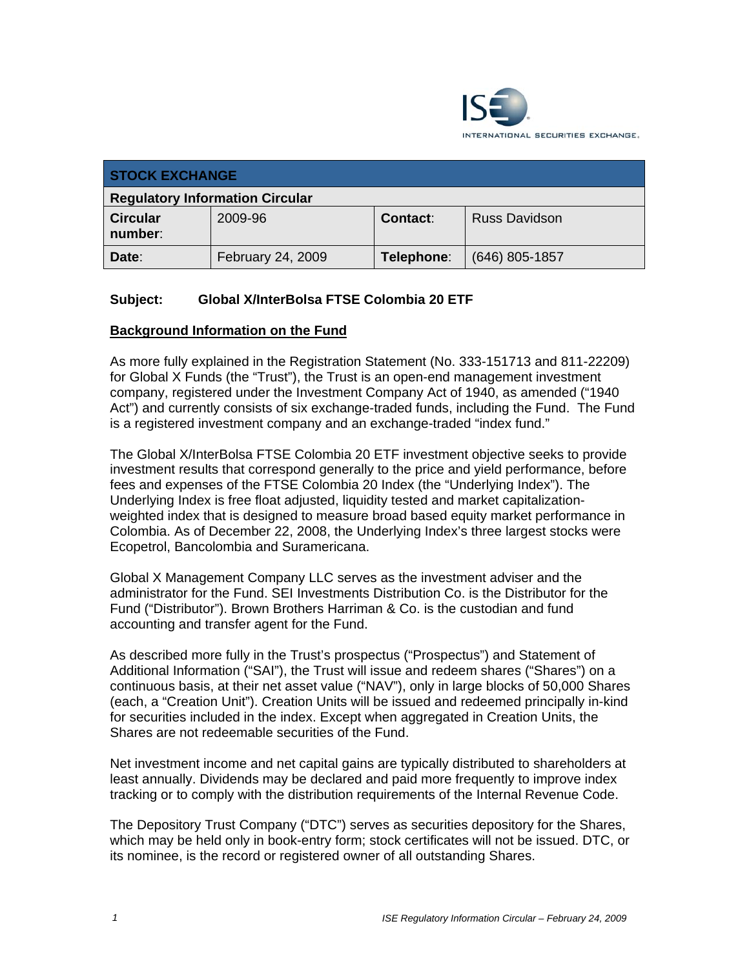

| <b>STOCK EXCHANGE</b>                  |                   |            |                      |
|----------------------------------------|-------------------|------------|----------------------|
| <b>Regulatory Information Circular</b> |                   |            |                      |
| <b>Circular</b><br>number:             | 2009-96           | Contact:   | <b>Russ Davidson</b> |
| Date:                                  | February 24, 2009 | Telephone: | $(646)$ 805-1857     |

## **Subject: Global X/InterBolsa FTSE Colombia 20 ETF**

### **Background Information on the Fund**

As more fully explained in the Registration Statement (No. 333-151713 and 811-22209) for Global X Funds (the "Trust"), the Trust is an open-end management investment company, registered under the Investment Company Act of 1940, as amended ("1940 Act") and currently consists of six exchange-traded funds, including the Fund. The Fund is a registered investment company and an exchange-traded "index fund."

The Global X/InterBolsa FTSE Colombia 20 ETF investment objective seeks to provide investment results that correspond generally to the price and yield performance, before fees and expenses of the FTSE Colombia 20 Index (the "Underlying Index"). The Underlying Index is free float adjusted, liquidity tested and market capitalizationweighted index that is designed to measure broad based equity market performance in Colombia. As of December 22, 2008, the Underlying Index's three largest stocks were Ecopetrol, Bancolombia and Suramericana.

Global X Management Company LLC serves as the investment adviser and the administrator for the Fund. SEI Investments Distribution Co. is the Distributor for the Fund ("Distributor"). Brown Brothers Harriman & Co. is the custodian and fund accounting and transfer agent for the Fund.

As described more fully in the Trust's prospectus ("Prospectus") and Statement of Additional Information ("SAI"), the Trust will issue and redeem shares ("Shares") on a continuous basis, at their net asset value ("NAV"), only in large blocks of 50,000 Shares (each, a "Creation Unit"). Creation Units will be issued and redeemed principally in-kind for securities included in the index. Except when aggregated in Creation Units, the Shares are not redeemable securities of the Fund.

Net investment income and net capital gains are typically distributed to shareholders at least annually. Dividends may be declared and paid more frequently to improve index tracking or to comply with the distribution requirements of the Internal Revenue Code.

The Depository Trust Company ("DTC") serves as securities depository for the Shares, which may be held only in book-entry form; stock certificates will not be issued. DTC, or its nominee, is the record or registered owner of all outstanding Shares.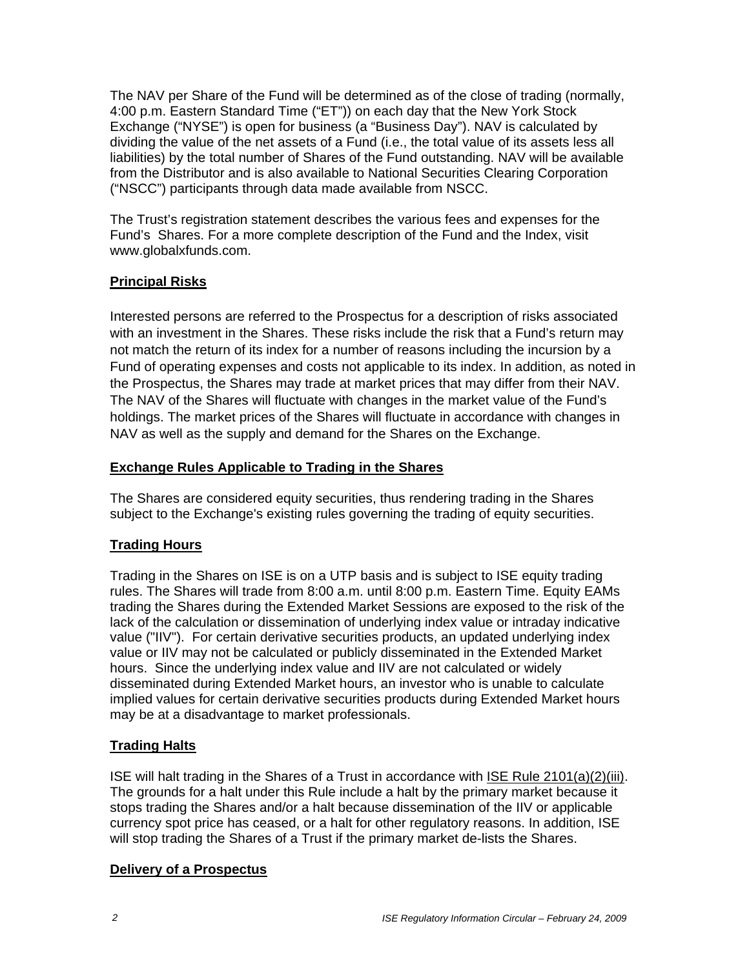The NAV per Share of the Fund will be determined as of the close of trading (normally, 4:00 p.m. Eastern Standard Time ("ET")) on each day that the New York Stock Exchange ("NYSE") is open for business (a "Business Day"). NAV is calculated by dividing the value of the net assets of a Fund (i.e., the total value of its assets less all liabilities) by the total number of Shares of the Fund outstanding. NAV will be available from the Distributor and is also available to National Securities Clearing Corporation ("NSCC") participants through data made available from NSCC.

The Trust's registration statement describes the various fees and expenses for the Fund's Shares. For a more complete description of the Fund and the Index, visit www.globalxfunds.com.

# **Principal Risks**

Interested persons are referred to the Prospectus for a description of risks associated with an investment in the Shares. These risks include the risk that a Fund's return may not match the return of its index for a number of reasons including the incursion by a Fund of operating expenses and costs not applicable to its index. In addition, as noted in the Prospectus, the Shares may trade at market prices that may differ from their NAV. The NAV of the Shares will fluctuate with changes in the market value of the Fund's holdings. The market prices of the Shares will fluctuate in accordance with changes in NAV as well as the supply and demand for the Shares on the Exchange.

## **Exchange Rules Applicable to Trading in the Shares**

The Shares are considered equity securities, thus rendering trading in the Shares subject to the Exchange's existing rules governing the trading of equity securities.

# **Trading Hours**

Trading in the Shares on ISE is on a UTP basis and is subject to ISE equity trading rules. The Shares will trade from 8:00 a.m. until 8:00 p.m. Eastern Time. Equity EAMs trading the Shares during the Extended Market Sessions are exposed to the risk of the lack of the calculation or dissemination of underlying index value or intraday indicative value ("IIV"). For certain derivative securities products, an updated underlying index value or IIV may not be calculated or publicly disseminated in the Extended Market hours. Since the underlying index value and IIV are not calculated or widely disseminated during Extended Market hours, an investor who is unable to calculate implied values for certain derivative securities products during Extended Market hours may be at a disadvantage to market professionals.

# **Trading Halts**

ISE will halt trading in the Shares of a Trust in accordance with ISE Rule 2101(a)(2)(iii). The grounds for a halt under this Rule include a halt by the primary market because it stops trading the Shares and/or a halt because dissemination of the IIV or applicable currency spot price has ceased, or a halt for other regulatory reasons. In addition, ISE will stop trading the Shares of a Trust if the primary market de-lists the Shares.

## **Delivery of a Prospectus**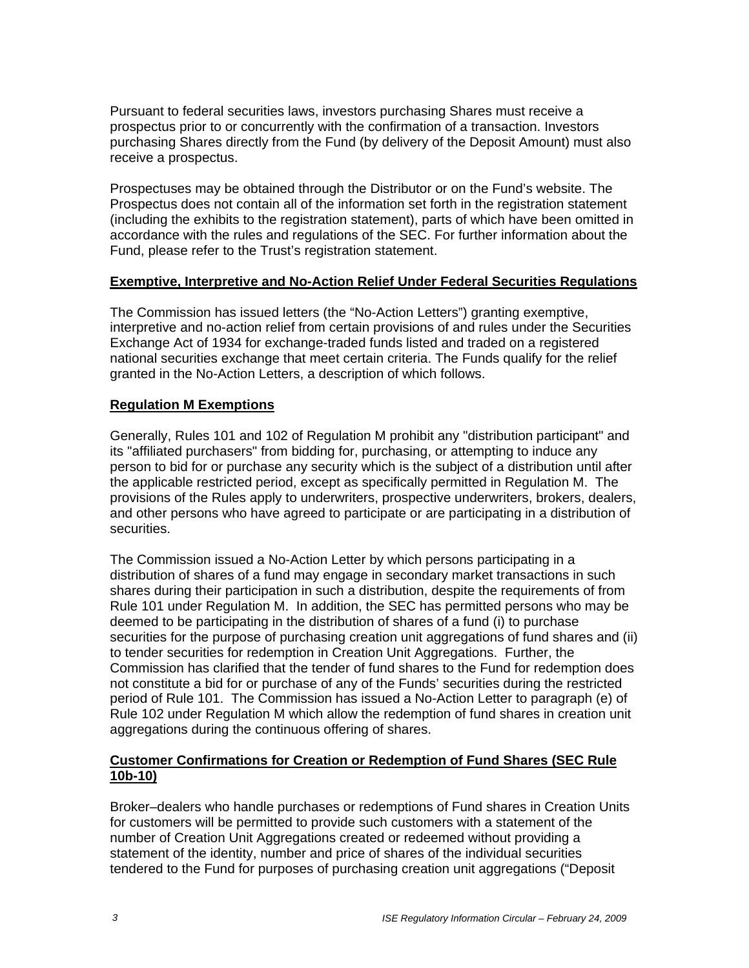Pursuant to federal securities laws, investors purchasing Shares must receive a prospectus prior to or concurrently with the confirmation of a transaction. Investors purchasing Shares directly from the Fund (by delivery of the Deposit Amount) must also receive a prospectus.

Prospectuses may be obtained through the Distributor or on the Fund's website. The Prospectus does not contain all of the information set forth in the registration statement (including the exhibits to the registration statement), parts of which have been omitted in accordance with the rules and regulations of the SEC. For further information about the Fund, please refer to the Trust's registration statement.

### **Exemptive, Interpretive and No-Action Relief Under Federal Securities Regulations**

The Commission has issued letters (the "No-Action Letters") granting exemptive, interpretive and no-action relief from certain provisions of and rules under the Securities Exchange Act of 1934 for exchange-traded funds listed and traded on a registered national securities exchange that meet certain criteria. The Funds qualify for the relief granted in the No-Action Letters, a description of which follows.

### **Regulation M Exemptions**

Generally, Rules 101 and 102 of Regulation M prohibit any "distribution participant" and its "affiliated purchasers" from bidding for, purchasing, or attempting to induce any person to bid for or purchase any security which is the subject of a distribution until after the applicable restricted period, except as specifically permitted in Regulation M. The provisions of the Rules apply to underwriters, prospective underwriters, brokers, dealers, and other persons who have agreed to participate or are participating in a distribution of securities.

The Commission issued a No-Action Letter by which persons participating in a distribution of shares of a fund may engage in secondary market transactions in such shares during their participation in such a distribution, despite the requirements of from Rule 101 under Regulation M. In addition, the SEC has permitted persons who may be deemed to be participating in the distribution of shares of a fund (i) to purchase securities for the purpose of purchasing creation unit aggregations of fund shares and (ii) to tender securities for redemption in Creation Unit Aggregations. Further, the Commission has clarified that the tender of fund shares to the Fund for redemption does not constitute a bid for or purchase of any of the Funds' securities during the restricted period of Rule 101. The Commission has issued a No-Action Letter to paragraph (e) of Rule 102 under Regulation M which allow the redemption of fund shares in creation unit aggregations during the continuous offering of shares.

## **Customer Confirmations for Creation or Redemption of Fund Shares (SEC Rule 10b-10)**

Broker–dealers who handle purchases or redemptions of Fund shares in Creation Units for customers will be permitted to provide such customers with a statement of the number of Creation Unit Aggregations created or redeemed without providing a statement of the identity, number and price of shares of the individual securities tendered to the Fund for purposes of purchasing creation unit aggregations ("Deposit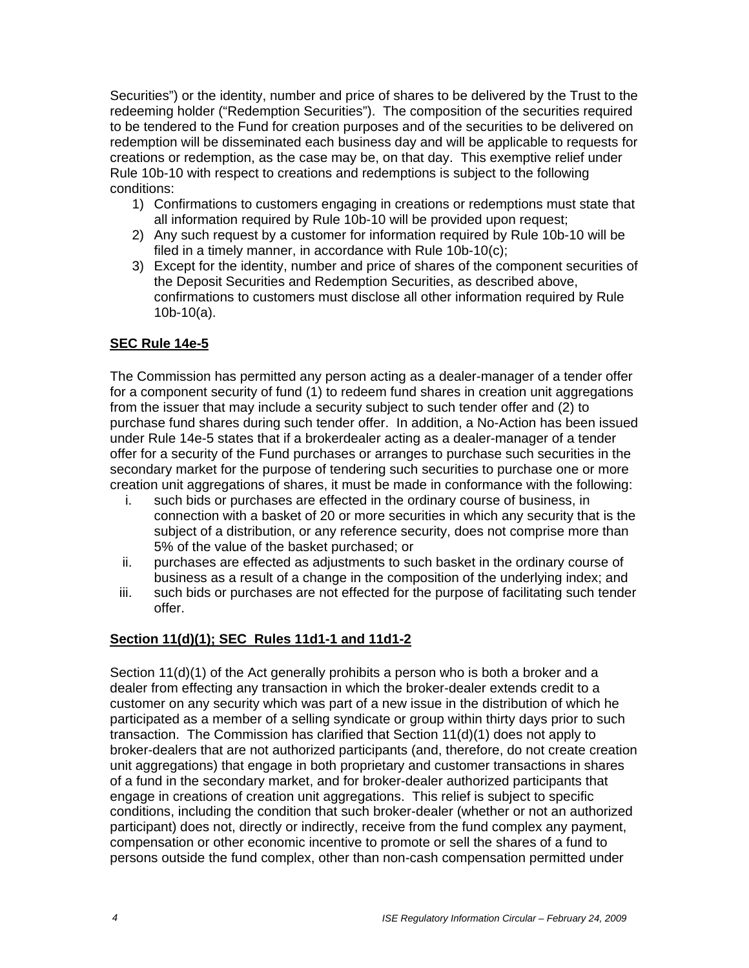Securities") or the identity, number and price of shares to be delivered by the Trust to the redeeming holder ("Redemption Securities"). The composition of the securities required to be tendered to the Fund for creation purposes and of the securities to be delivered on redemption will be disseminated each business day and will be applicable to requests for creations or redemption, as the case may be, on that day. This exemptive relief under Rule 10b-10 with respect to creations and redemptions is subject to the following conditions:

- 1) Confirmations to customers engaging in creations or redemptions must state that all information required by Rule 10b-10 will be provided upon request;
- 2) Any such request by a customer for information required by Rule 10b-10 will be filed in a timely manner, in accordance with Rule 10b-10(c);
- 3) Except for the identity, number and price of shares of the component securities of the Deposit Securities and Redemption Securities, as described above, confirmations to customers must disclose all other information required by Rule 10b-10(a).

## **SEC Rule 14e-5**

The Commission has permitted any person acting as a dealer-manager of a tender offer for a component security of fund (1) to redeem fund shares in creation unit aggregations from the issuer that may include a security subject to such tender offer and (2) to purchase fund shares during such tender offer. In addition, a No-Action has been issued under Rule 14e-5 states that if a brokerdealer acting as a dealer-manager of a tender offer for a security of the Fund purchases or arranges to purchase such securities in the secondary market for the purpose of tendering such securities to purchase one or more creation unit aggregations of shares, it must be made in conformance with the following:

- i. such bids or purchases are effected in the ordinary course of business, in connection with a basket of 20 or more securities in which any security that is the subject of a distribution, or any reference security, does not comprise more than 5% of the value of the basket purchased; or
- ii. purchases are effected as adjustments to such basket in the ordinary course of business as a result of a change in the composition of the underlying index; and
- iii. such bids or purchases are not effected for the purpose of facilitating such tender offer.

## **Section 11(d)(1); SEC Rules 11d1-1 and 11d1-2**

Section 11(d)(1) of the Act generally prohibits a person who is both a broker and a dealer from effecting any transaction in which the broker-dealer extends credit to a customer on any security which was part of a new issue in the distribution of which he participated as a member of a selling syndicate or group within thirty days prior to such transaction. The Commission has clarified that Section 11(d)(1) does not apply to broker-dealers that are not authorized participants (and, therefore, do not create creation unit aggregations) that engage in both proprietary and customer transactions in shares of a fund in the secondary market, and for broker-dealer authorized participants that engage in creations of creation unit aggregations. This relief is subject to specific conditions, including the condition that such broker-dealer (whether or not an authorized participant) does not, directly or indirectly, receive from the fund complex any payment, compensation or other economic incentive to promote or sell the shares of a fund to persons outside the fund complex, other than non-cash compensation permitted under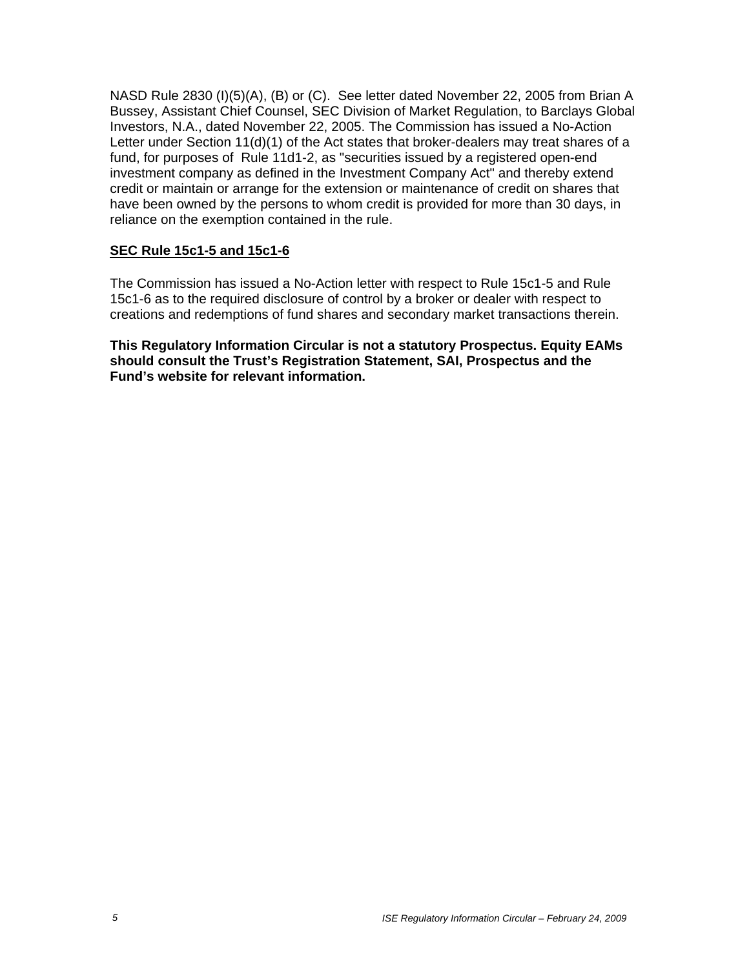NASD Rule 2830 (I)(5)(A), (B) or (C). See letter dated November 22, 2005 from Brian A Bussey, Assistant Chief Counsel, SEC Division of Market Regulation, to Barclays Global Investors, N.A., dated November 22, 2005. The Commission has issued a No-Action Letter under Section 11(d)(1) of the Act states that broker-dealers may treat shares of a fund, for purposes of Rule 11d1-2, as "securities issued by a registered open-end investment company as defined in the Investment Company Act" and thereby extend credit or maintain or arrange for the extension or maintenance of credit on shares that have been owned by the persons to whom credit is provided for more than 30 days, in reliance on the exemption contained in the rule.

### **SEC Rule 15c1-5 and 15c1-6**

The Commission has issued a No-Action letter with respect to Rule 15c1-5 and Rule 15c1-6 as to the required disclosure of control by a broker or dealer with respect to creations and redemptions of fund shares and secondary market transactions therein.

**This Regulatory Information Circular is not a statutory Prospectus. Equity EAMs should consult the Trust's Registration Statement, SAI, Prospectus and the Fund's website for relevant information.**